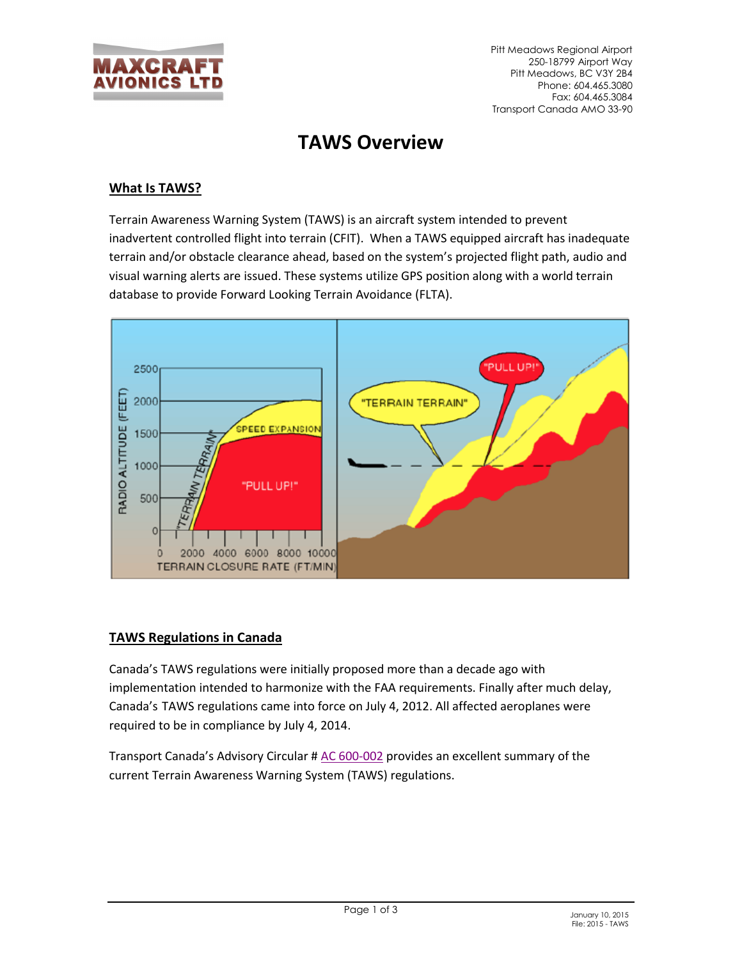

# **TAWS Overview**

## **What Is TAWS?**

Terrain Awareness Warning System (TAWS) is an aircraft system intended to prevent inadvertent controlled flight into terrain (CFIT). When a TAWS equipped aircraft has inadequate terrain and/or obstacle clearance ahead, based on the system's projected flight path, audio and visual warning alerts are issued. These systems utilize GPS position along with a world terrain database to provide Forward Looking Terrain Avoidance (FLTA).



### **TAWS Regulations in Canada**

Canada's TAWS regulations were initially proposed more than a decade ago with implementation intended to harmonize with the FAA requirements. Finally after much delay, Canada's TAWS regulations came into force on July 4, 2012. All affected aeroplanes were required to be in compliance by July 4, 2014.

Transport Canada's Advisory Circular # [AC 600-002](http://www.maxcraft.ca/PDF/AC-600-003.pdf) provides an excellent summary of the current Terrain Awareness Warning System (TAWS) regulations.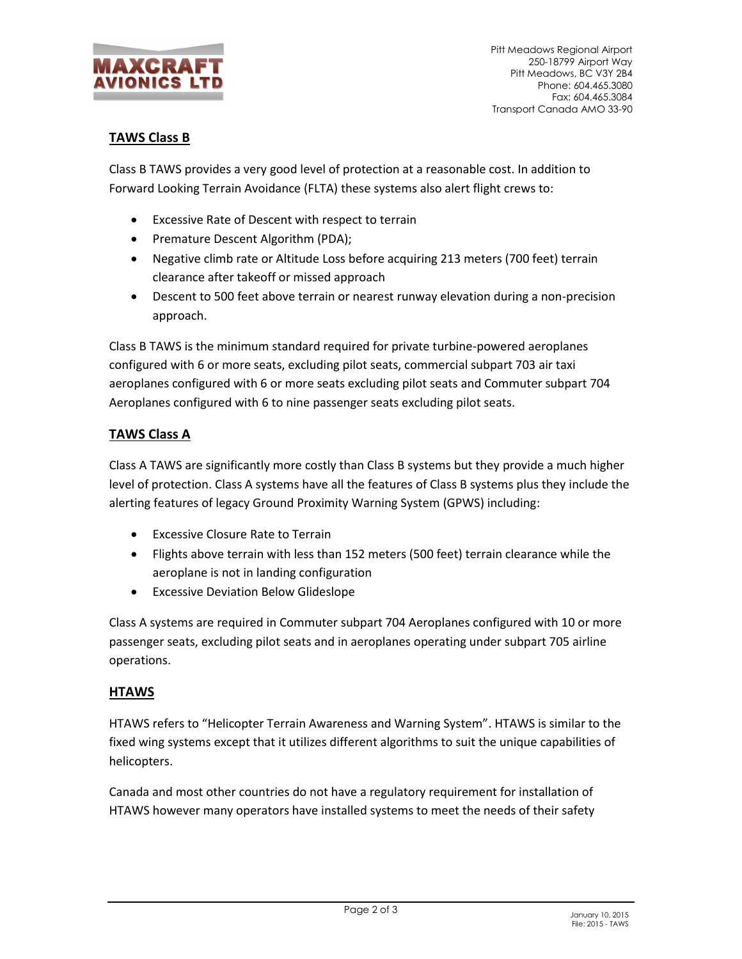

Pitt Meadows Regional Airport 250-18799 Airport Way Pitt Meadows, BC V3Y 2B4 Phone: 604.465.3080 Fax: 604.465.3084 Transport Canada AMO 33-90

# **TAWS Class B**

Class B TAWS provides a very good level of protection at a reasonable cost. In addition to Forward Looking Terrain Avoidance (FLTA) these systems also alert flight crews to:

- Excessive Rate of Descent with respect to terrain
- Premature Descent Algorithm (PDA);
- Negative climb rate or Altitude Loss before acquiring 213 meters (700 feet) terrain clearance after takeoff or missed approach
- Descent to 500 feet above terrain or nearest runway elevation during a non-precision approach.

Class B TAWS is the minimum standard required for private turbine-powered aeroplanes configured with 6 or more seats, excluding pilot seats, commercial subpart 703 air taxi aeroplanes configured with 6 or more seats excluding pilot seats and Commuter subpart 704 Aeroplanes configured with 6 to nine passenger seats excluding pilot seats.

## **TAWS Class A**

Class A TAWS are significantly more costly than Class B systems but they provide a much higher level of protection. Class A systems have all the features of Class B systems plus they include the alerting features of legacy Ground Proximity Warning System (GPWS) including:

- Excessive Closure Rate to Terrain
- Flights above terrain with less than 152 meters (500 feet) terrain clearance while the aeroplane is not in landing configuration
- Excessive Deviation Below Glideslope

Class A systems are required in Commuter subpart 704 Aeroplanes configured with 10 or more passenger seats, excluding pilot seats and in aeroplanes operating under subpart 705 airline operations.

### **HTAWS**

HTAWS refers to "Helicopter Terrain Awareness and Warning System". HTAWS is similar to the fixed wing systems except that it utilizes different algorithms to suit the unique capabilities of helicopters.

Canada and most other countries do not have a regulatory requirement for installation of HTAWS however many operators have installed systems to meet the needs of their safety